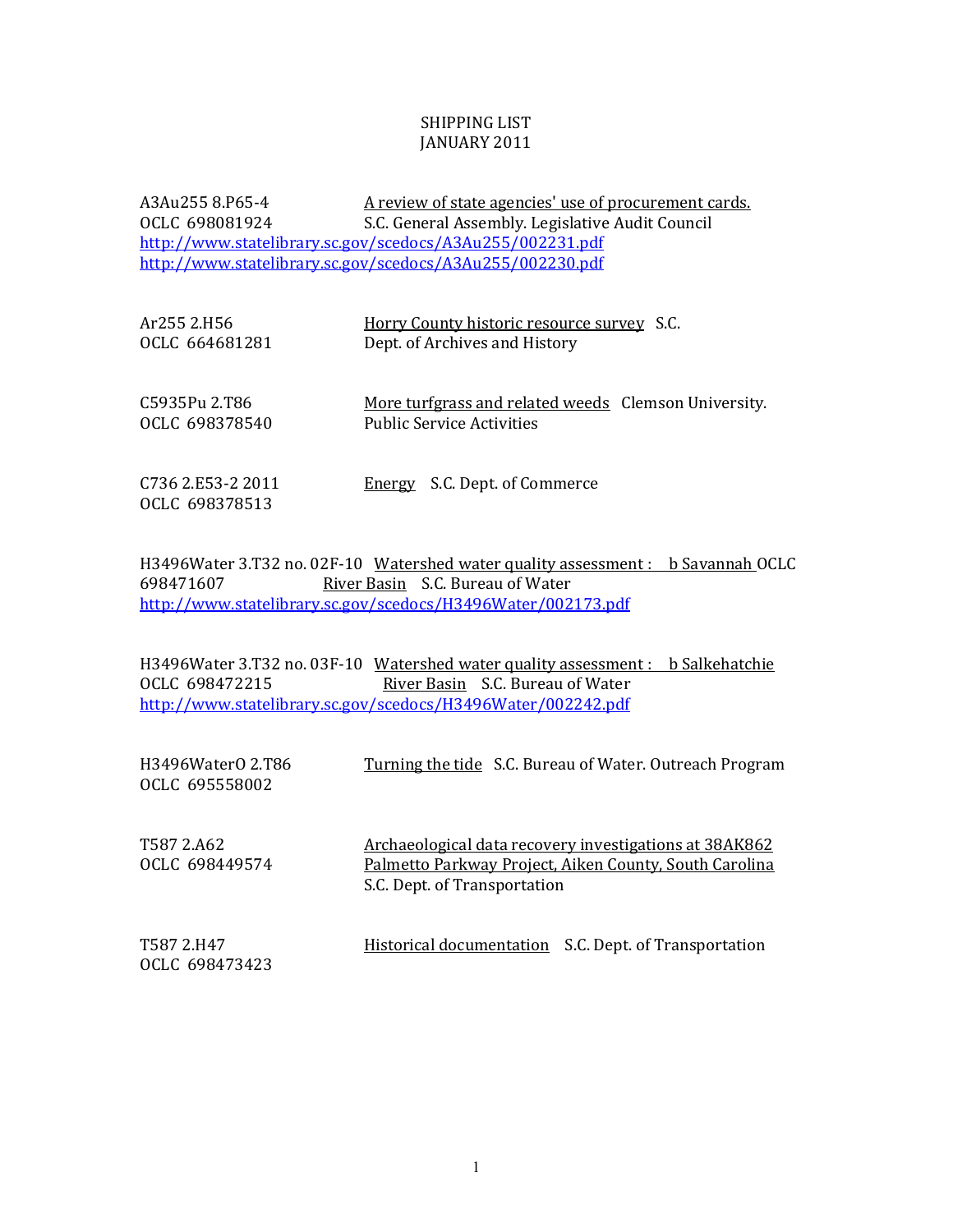## SHIPPING LIST JANUARY 2011

A3Au255 8.P65-4 A review of state agencies' use of procurement cards. OCLC 698081924 S.C. General Assembly. Legislative Audit Council http://www.statelibrary.sc.gov/scedocs/A3Au255/002231.pdf http://www.statelibrary.sc.gov/scedocs/A3Au255/002230.pdf

| Ar255 2.H56                         | Horry County historic resource survey S.C.           |
|-------------------------------------|------------------------------------------------------|
| OCLC 664681281                      | Dept. of Archives and History                        |
| C5935Pu 2.T86                       | More turfgrass and related weeds Clemson University. |
| OCLC 698378540                      | <b>Public Service Activities</b>                     |
| C736 2.E53-2 2011<br>OCLC 698378513 | Energy S.C. Dept. of Commerce                        |

H3496Water 3.T32 no. 02F-10 Watershed water quality assessment : b Savannah OCLC 698471607 River Basin S.C. Bureau of Water http://www.statelibrary.sc.gov/scedocs/H3496Water/002173.pdf

H3496Water 3.T32 no. 03F-10 Watershed water quality assessment : b Salkehatchie OCLC 698472215 <u>River Basin</u> S.C. Bureau of Water http://www.statelibrary.sc.gov/scedocs/H3496Water/002242.pdf

| H3496Water0 2.T86<br>OCLC 695558002 | Turning the tide S.C. Bureau of Water. Outreach Program                                                                                                 |
|-------------------------------------|---------------------------------------------------------------------------------------------------------------------------------------------------------|
| T587 2.A62<br>OCLC 698449574        | <u>Archaeological data recovery investigations at 38AK862</u><br>Palmetto Parkway Project, Aiken County, South Carolina<br>S.C. Dept. of Transportation |
| T587 2.H47<br>OCLC 698473423        | <u>Historical documentation</u> S.C. Dept. of Transportation                                                                                            |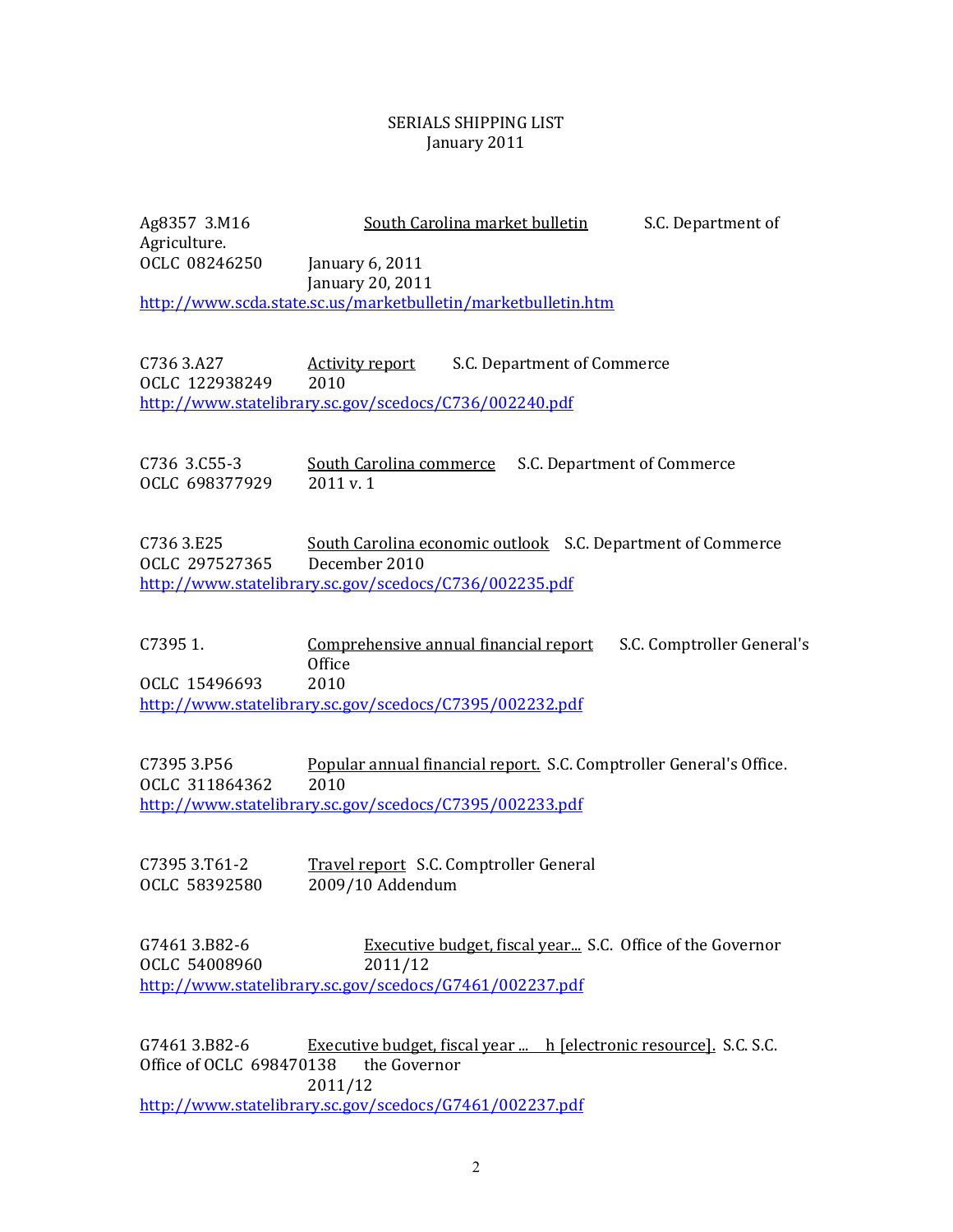## SERIALS SHIPPING LIST January 2011

Ag8357 3.M16 South Carolina market bulletin S.C. Department of Agriculture. OCLC 08246250 January 6, 2011 January 20, 2011 http://www.scda.state.sc.us/marketbulletin/marketbulletin.htm

C736 3.A27 **Activity report** S.C. Department of Commerce OCLC 122938249 2010 http://www.statelibrary.sc.gov/scedocs/C736/002240.pdf

C736 3.C55‐3 South Carolina commerce S.C. Department of Commerce OCLC 698377929 2011 v. 1

C736 3.E25 South Carolina economic outlook S.C. Department of Commerce CLC 297527365 December 2010 O http://www.statelibrary.sc.gov/scedocs/C736/002235.pdf

C7395 1. Comprehensive annual financial report S.C. Comptroller General's **Office** OCLC 15496693 2010 http://www.statelibrary.sc.gov/scedocs/C7395/002232.pdf

C7395 3.P56 Popular annual financial report. S.C. Comptroller General's Office. OCLC 311864362 2010 http://www.statelibrary.sc.gov/scedocs/C7395/002233.pdf

C7395 3.T61-2 Travel report S.C. Comptroller General 2009/10 Addendum OCLC 58392580

G7461 3.B82-6 Executive budget, fiscal year... S.C. Office of the Governor OCLC 54008960 2011/12 http://www.statelibrary.sc.gov/scedocs/G7461/002237.pdf

G7461 3.B82-6 Executive budget, fiscal year ... h [electronic resource]. S.C. S.C. Office of OCLC 698470138 the Governor 2011/12 <http://www.statelibrary.sc.gov/scedocs/G7461/002237.pdf>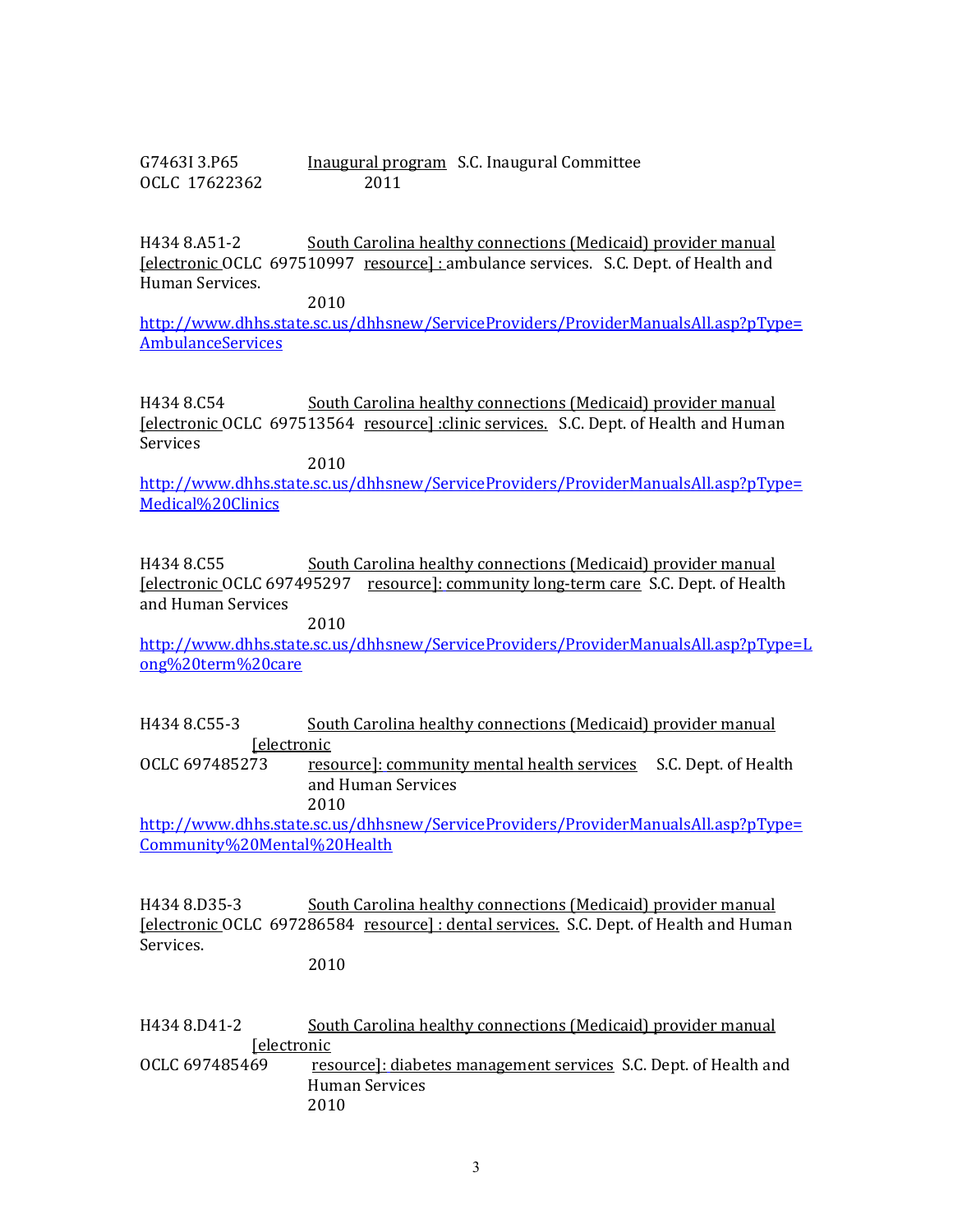G7463I 3.P65 Inaugural program S.C. Inaugural Committee OCLC 17622362 2011

H434 8.A51-2 South Carolina healthy connections (Medicaid) provider manual [electronic OCLC 697510997 resource] : ambulance services. S.C. Dept. of Health and Human Services.

2010

http://www.dhhs.state.sc.us/dhhsnew/ServiceProviders/ProviderManualsAll.asp?pType= **AmbulanceServices** 

H434 8.C54 South Carolina healthy connections (Medicaid) provider manual [electronic OCLC 697513564 resource] :clinic services. S.C. Dept. of Health and Human Services

2010

http://www.dhhs.state.sc.us/dhhsnew/ServiceProviders/ProviderManualsAll.asp?pType= Medical%20Clinics

H434 8.C55 South Carolina healthy connections (Medicaid) provider manual [electronic OCLC 697495297 resource]: community long‐term care S.C. Dept. of Health and Human Services

2010

http://www.dhhs.state.sc.us/dhhsnew/ServiceProviders/ProviderManualsAll.asp?pType=L ong%20term%20care

H434 8.C55‐3 South Carolina healthy connections (Medicaid) provider manual **[electronic** 

OCLC 697485273 resource]: community mental health services S.C. Dept. of Health and Human Services 2010

http://www.dhhs.state.sc.us/dhhsnew/ServiceProviders/ProviderManualsAll.asp?pType= Community%20Mental%20Health

H434 8.D35‐3 South Carolina healthy connections (Medicaid) provider manual [electronic OCLC 697286584 resource] : dental services. S.C. Dept. of Health and Human Services.

2010

H434 8.D41-2 South Carolina healthy connections (Medicaid) provider manual **[electronic** OCLC 697485469 resource]: diabetes management services S.C. Dept. of Health and Human Services 2010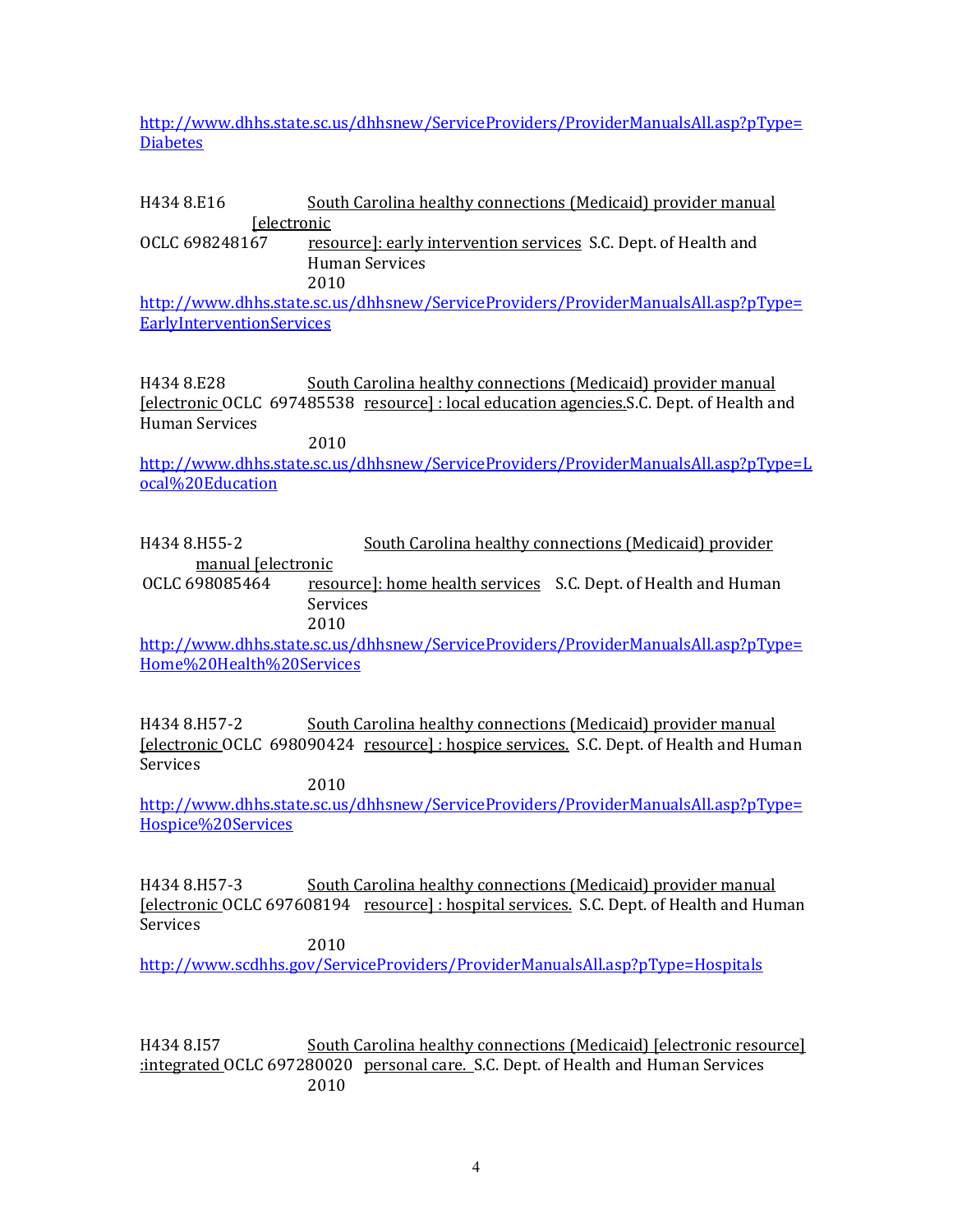http://www.dhhs.state.sc.us/dhhsnew/ServiceProviders/ProviderManualsAll.asp?pType= **Diabetes** 

## H434 8.E16 South Carolina healthy connections (Medicaid) provider manual **[electronic**

OCLC 698248167 resource]: early intervention services S.C. Dept. of Health and Human Services 2010

http://www.dhhs.state.sc.us/dhhsnew/ServiceProviders/ProviderManualsAll.asp?pType= **EarlyInterventionServices** 

H434 8.E28 South Carolina healthy connections (Medicaid) provider manual [electronic OCLC 697485538 resource] : local education agencies.S.C. Dept. of Health and Human Services

2010

http://www.dhhs.state.sc.us/dhhsnew/ServiceProviders/ProviderManualsAll.asp?pType=L ocal%20Education

H434 8.H55‐2 South Carolina healthy connections (Medicaid) provider manual [electronic

OCLC 698085464 resource]: home health services S.C. Dept. of Health and Human Services

2010

http://www.dhhs.state.sc.us/dhhsnew/ServiceProviders/ProviderManualsAll.asp?pType= Home%20Health%20Services

H434 8.H57‐2 South Carolina healthy connections (Medicaid) provider manual [electronic OCLC 698090424 resource] : hospice services. S.C. Dept. of Health and Human Services

2010

http://www.dhhs.state.sc.us/dhhsnew/ServiceProviders/ProviderManualsAll.asp?pType= Hospice%20Services

H434 8.H57‐3 South Carolina healthy connections (Medicaid) provider manual [electronic OCLC 697608194 resource] : hospital services. S.C. Dept. of Health and Human Services 2010

http://www.scdhhs.gov/ServiceProviders/ProviderManualsAll.asp?pType=Hospitals

H434 8.I57 South Carolina healthy connections (Medicaid) [electronic resource] :integrated OCLC 697280020 personal care. S.C. Dept. of Health and Human Services 2010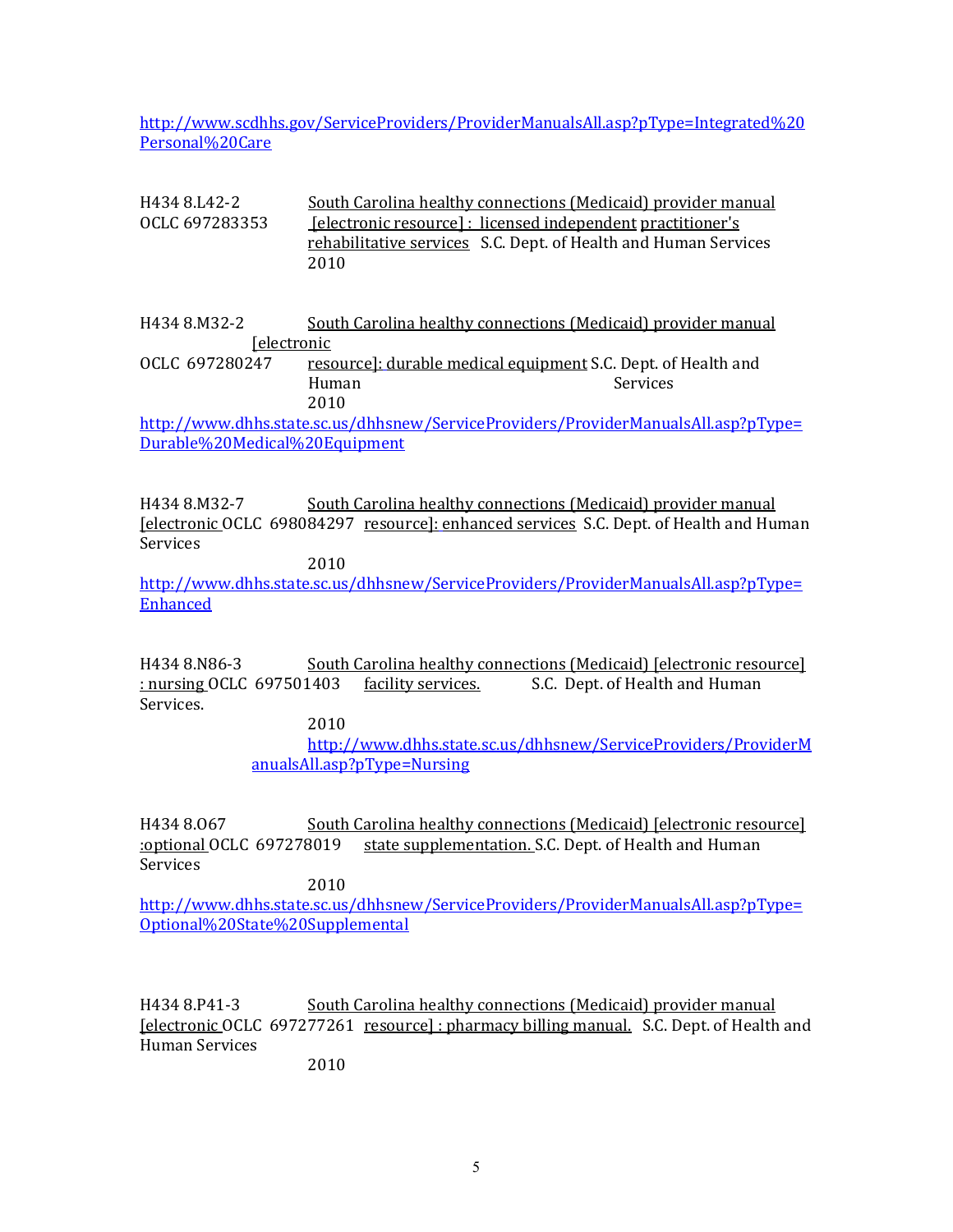http://www.scdhhs.gov/ServiceProviders/ProviderManualsAll.asp?pType=Integrated%20 Personal%20Care

| H434 8.L42-2                  | South Carolina healthy connections (Medicaid) provider manual                      |          |
|-------------------------------|------------------------------------------------------------------------------------|----------|
| OCLC 697283353                | <u> [electronic resource] : licensed independent practitioner's</u>                |          |
|                               | rehabilitative services S.C. Dept. of Health and Human Services                    |          |
|                               | 2010                                                                               |          |
|                               |                                                                                    |          |
|                               |                                                                                    |          |
| H434 8.M32-2                  | South Carolina healthy connections (Medicaid) provider manual                      |          |
| <u>Selectronic</u>            |                                                                                    |          |
| OCLC 697280247                | resource]: durable medical equipment S.C. Dept. of Health and                      |          |
|                               | Human                                                                              | Services |
|                               | 2010                                                                               |          |
|                               | http://www.dhhs.state.sc.us/dhhsnew/ServiceProviders/ProviderManualsAll.asp?pType= |          |
| Durable%20Medical%20Equipment |                                                                                    |          |

H434 8.M32-7 South Carolina healthy connections (Medicaid) provider manual [electronic OCLC 698084297 resource]: enhanced services S.C. Dept. of Health and Human Services

2010

http://www.dhhs.state.sc.us/dhhsnew/ServiceProviders/ProviderManualsAll.asp?pType= **Enhanced** 

H434 8.N86-3 South Carolina healthy connections (Medicaid) [electronic resource] : nursing OCLC 697501403 facility services. S.C. Dept. of Health and Human Services.

2010

http://www.dhhs.state.sc.us/dhhsnew/ServiceProviders/ProviderM anualsAll.asp?pType=Nursing

H434 8.067 South Carolina healthy connections (Medicaid) [electronic resource] :optional OCLC 697278019 state supplementation. S.C. Dept. of Health and Human Services

2010

http://www.dhhs.state.sc.us/dhhsnew/ServiceProviders/ProviderManualsAll.asp?pType= Optional%20State%20Supplemental

H434 8.P41‐3 South Carolina healthy connections (Medicaid) provider manual [electronic OCLC 697277261 resource] : pharmacy billing manual. S.C. Dept. of Health and Human Services

2010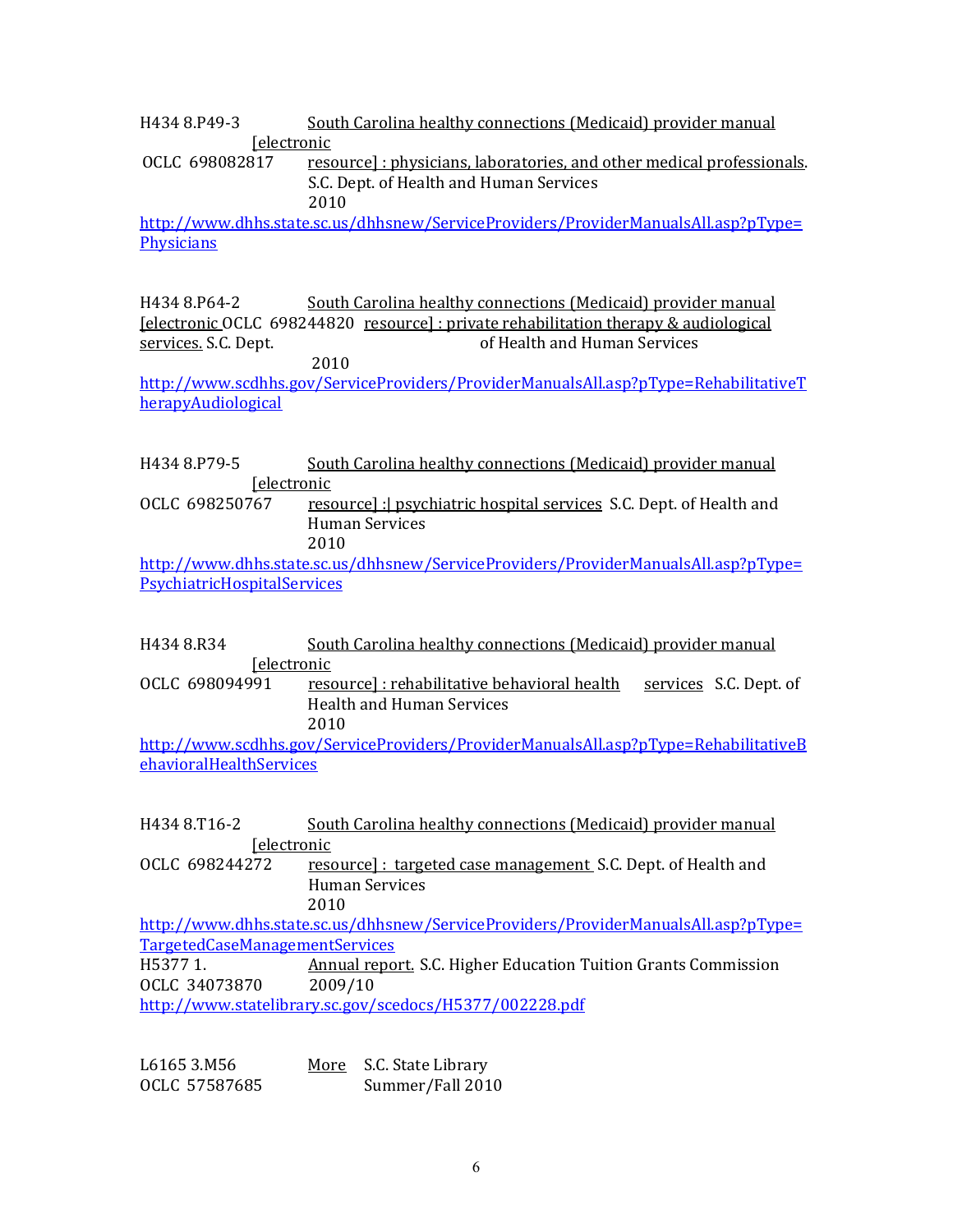H434 8.P49‐3 South Carolina healthy connections (Medicaid) provider manual **[electronic** 

OCLC 698082817 cesource]: physicians, laboratories, and other medical professionals. S.C. Dept. of Health and Human Services 2010

http://www.dhhs.state.sc.us/dhhsnew/ServiceProviders/ProviderManualsAll.asp?pType= **Physicians** 

H434 8.P64‐2 South Carolina healthy connections (Medicaid) provider manual [electronic OCLC 698244820 resource] : private rehabilitation therapy & audiological services. S.C. Dept. *Services.* S.C. Dept. *Services of Health and Human Services* 2010

http://www.scdhhs.gov/ServiceProviders/ProviderManualsAll.asp?pType=RehabilitativeT herapyAudiological

H434 8.P79‐5 South Carolina healthy connections (Medicaid) provider manual **[electronic]** 

OCLC 698250767 resource] : psychiatric hospital services S.C. Dept. of Health and Human Services 2010

http://www.dhhs.state.sc.us/dhhsnew/ServiceProviders/ProviderManualsAll.asp?pType= PsychiatricHospitalServices

- H434 8.R34 South Carolina healthy connections (Medicaid) provider manual **[electronic** OCLC 698094991 resource]: rehabilitative behavioral health services S.C. Dept. of
- Health and Human Services 2010

http://www.scdhhs.gov/ServiceProviders/ProviderManualsAll.asp?pType=RehabilitativeB ehavioralHealthServices

| H434 8.T16-2                   | South Carolina healthy connections (Medicaid) provider manual                      |
|--------------------------------|------------------------------------------------------------------------------------|
| <u>[electronic</u>             |                                                                                    |
| OCLC 698244272                 | <u>resource]: targeted case management</u> S.C. Dept. of Health and                |
|                                | Human Services                                                                     |
|                                | 2010                                                                               |
|                                | http://www.dhhs.state.sc.us/dhhsnew/ServiceProviders/ProviderManualsAll.asp?pType= |
| TargetedCaseManagementServices |                                                                                    |
| H5377 1.                       | Annual report. S.C. Higher Education Tuition Grants Commission                     |
| OCLC 34073870                  | 2009/10                                                                            |
|                                | http://www.statelibrary.sc.gov/scedocs/H5377/002228.pdf                            |
|                                |                                                                                    |

| L6165 3.M56   | More S.C. State Library |
|---------------|-------------------------|
| OCLC 57587685 | Summer/Fall 2010        |